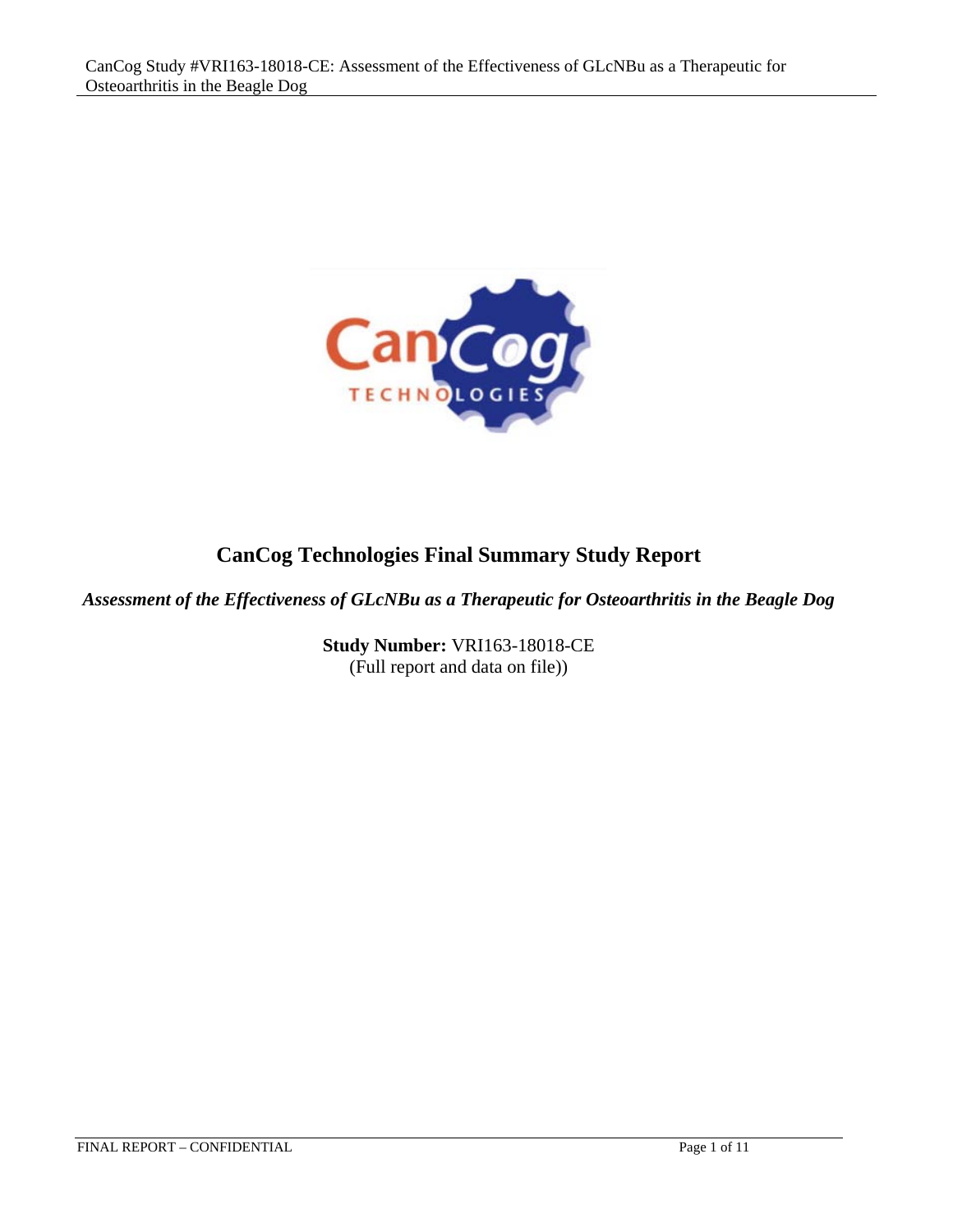

# **CanCog Technologies Final Summary Study Report**

*Assessment of the Effectiveness of GLcNBu as a Therapeutic for Osteoarthritis in the Beagle Dog* 

**Study Number:** VRI163-18018-CE (Full report and data on file))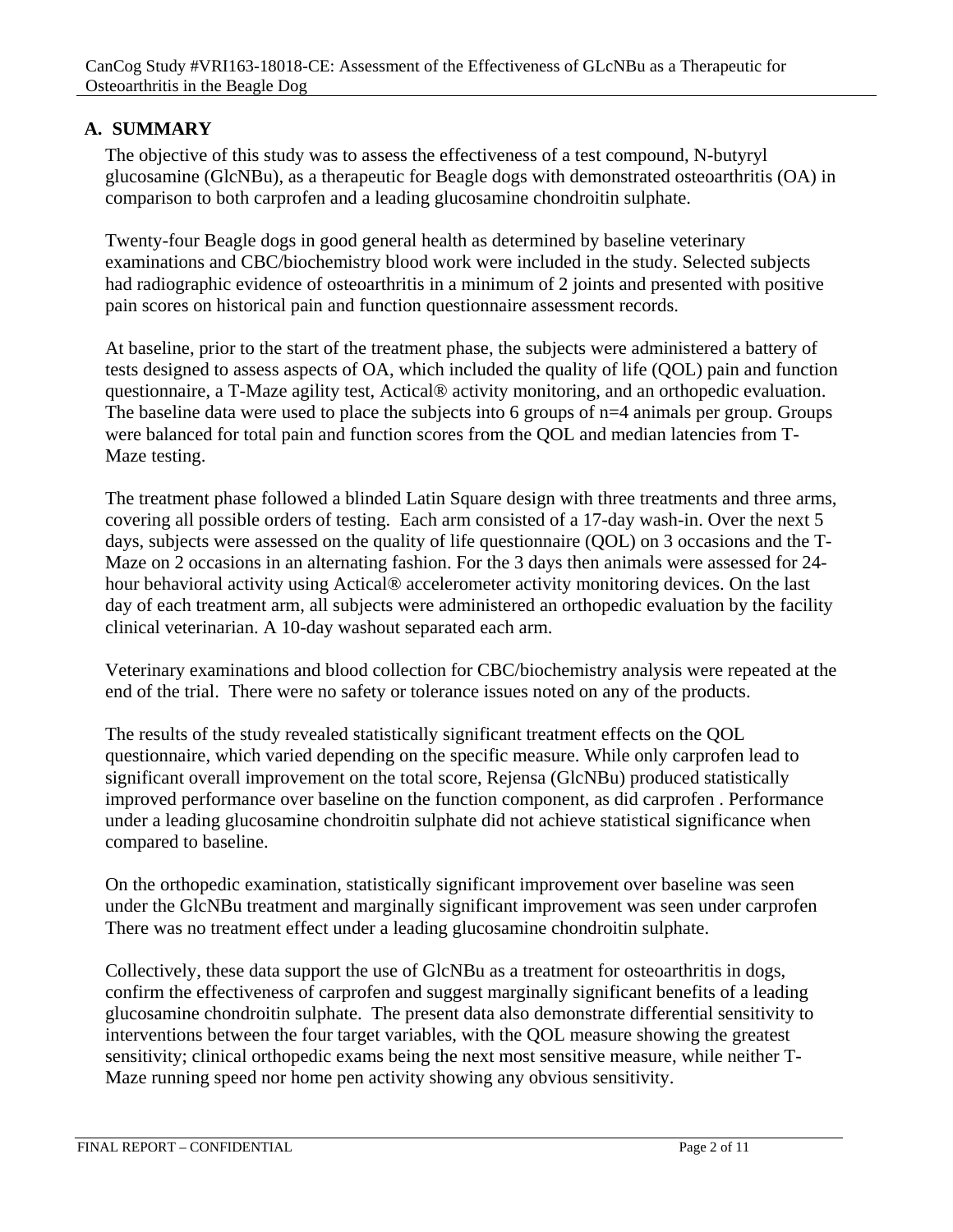## **A. SUMMARY**

The objective of this study was to assess the effectiveness of a test compound, N-butyryl glucosamine (GlcNBu), as a therapeutic for Beagle dogs with demonstrated osteoarthritis (OA) in comparison to both carprofen and a leading glucosamine chondroitin sulphate.

Twenty-four Beagle dogs in good general health as determined by baseline veterinary examinations and CBC/biochemistry blood work were included in the study. Selected subjects had radiographic evidence of osteoarthritis in a minimum of 2 joints and presented with positive pain scores on historical pain and function questionnaire assessment records.

At baseline, prior to the start of the treatment phase, the subjects were administered a battery of tests designed to assess aspects of OA, which included the quality of life (QOL) pain and function questionnaire, a T-Maze agility test, Actical® activity monitoring, and an orthopedic evaluation. The baseline data were used to place the subjects into 6 groups of n=4 animals per group. Groups were balanced for total pain and function scores from the QOL and median latencies from T-Maze testing.

The treatment phase followed a blinded Latin Square design with three treatments and three arms, covering all possible orders of testing. Each arm consisted of a 17-day wash-in. Over the next 5 days, subjects were assessed on the quality of life questionnaire (QOL) on 3 occasions and the T-Maze on 2 occasions in an alternating fashion. For the 3 days then animals were assessed for 24 hour behavioral activity using Actical® accelerometer activity monitoring devices. On the last day of each treatment arm, all subjects were administered an orthopedic evaluation by the facility clinical veterinarian. A 10-day washout separated each arm.

Veterinary examinations and blood collection for CBC/biochemistry analysis were repeated at the end of the trial. There were no safety or tolerance issues noted on any of the products.

The results of the study revealed statistically significant treatment effects on the QOL questionnaire, which varied depending on the specific measure. While only carprofen lead to significant overall improvement on the total score, Rejensa (GlcNBu) produced statistically improved performance over baseline on the function component, as did carprofen . Performance under a leading glucosamine chondroitin sulphate did not achieve statistical significance when compared to baseline.

On the orthopedic examination, statistically significant improvement over baseline was seen under the GlcNBu treatment and marginally significant improvement was seen under carprofen There was no treatment effect under a leading glucosamine chondroitin sulphate.

Collectively, these data support the use of GlcNBu as a treatment for osteoarthritis in dogs, confirm the effectiveness of carprofen and suggest marginally significant benefits of a leading glucosamine chondroitin sulphate. The present data also demonstrate differential sensitivity to interventions between the four target variables, with the QOL measure showing the greatest sensitivity; clinical orthopedic exams being the next most sensitive measure, while neither T-Maze running speed nor home pen activity showing any obvious sensitivity.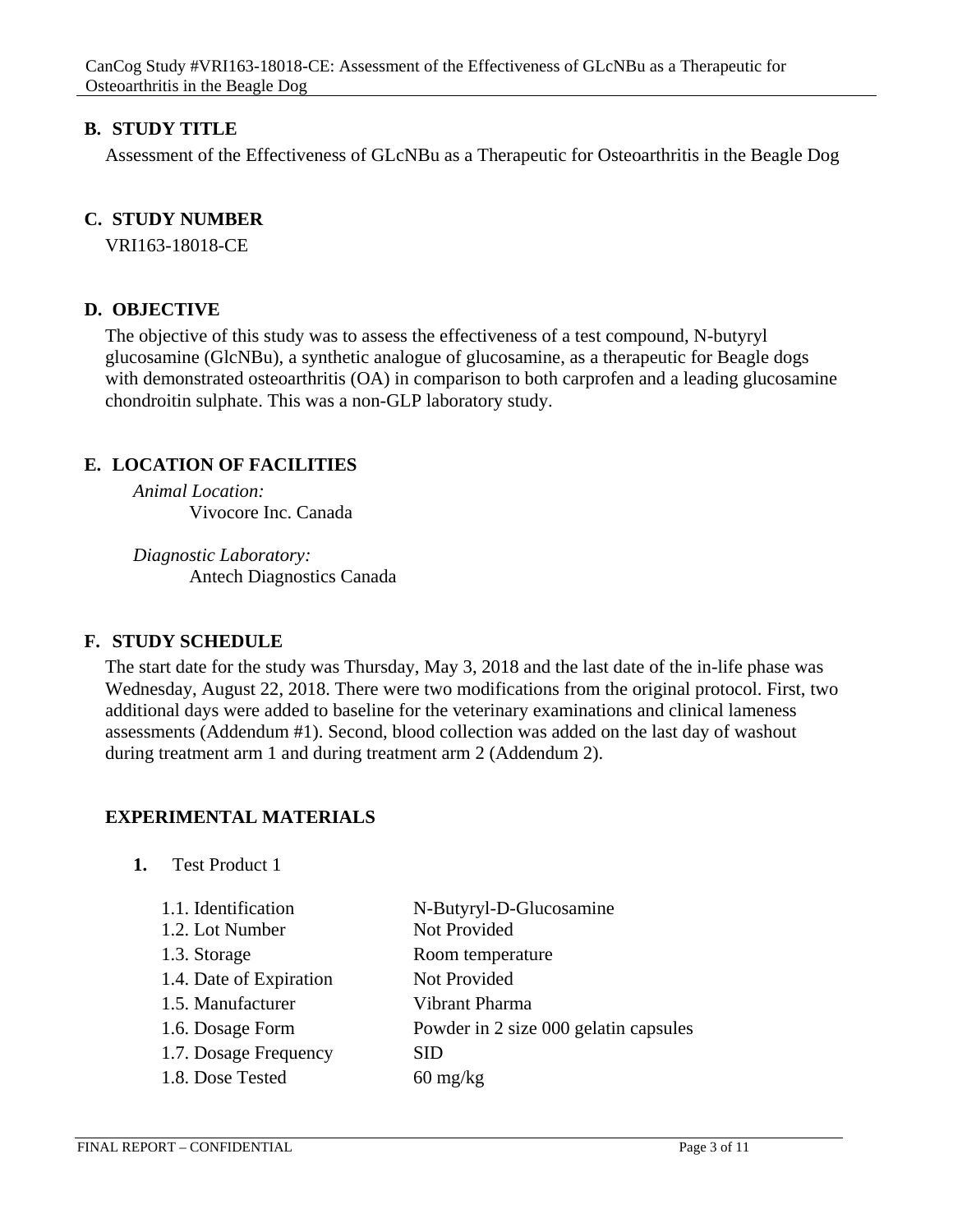#### **B. STUDY TITLE**

Assessment of the Effectiveness of GLcNBu as a Therapeutic for Osteoarthritis in the Beagle Dog

#### **C. STUDY NUMBER**

VRI163-18018-CE

#### **D. OBJECTIVE**

The objective of this study was to assess the effectiveness of a test compound, N-butyryl glucosamine (GlcNBu), a synthetic analogue of glucosamine, as a therapeutic for Beagle dogs with demonstrated osteoarthritis (OA) in comparison to both carprofen and a leading glucosamine chondroitin sulphate. This was a non-GLP laboratory study.

#### **E. LOCATION OF FACILITIES**

*Animal Location:*  Vivocore Inc. Canada

*Diagnostic Laboratory:*  Antech Diagnostics Canada

# **F. STUDY SCHEDULE**

The start date for the study was Thursday, May 3, 2018 and the last date of the in-life phase was Wednesday, August 22, 2018. There were two modifications from the original protocol. First, two additional days were added to baseline for the veterinary examinations and clinical lameness assessments (Addendum #1). Second, blood collection was added on the last day of washout during treatment arm 1 and during treatment arm 2 (Addendum 2).

#### **EXPERIMENTAL MATERIALS**

| 1. | <b>Test Product 1</b> |  |
|----|-----------------------|--|
|    |                       |  |

| 1.1. Identification     | N-Butyryl-D-Glucosamine               |
|-------------------------|---------------------------------------|
| 1.2. Lot Number         | Not Provided                          |
| 1.3. Storage            | Room temperature                      |
| 1.4. Date of Expiration | Not Provided                          |
| 1.5. Manufacturer       | Vibrant Pharma                        |
| 1.6. Dosage Form        | Powder in 2 size 000 gelatin capsules |
| 1.7. Dosage Frequency   | <b>SID</b>                            |
| 1.8. Dose Tested        | $60 \frac{\text{mg}}{\text{kg}}$      |
|                         |                                       |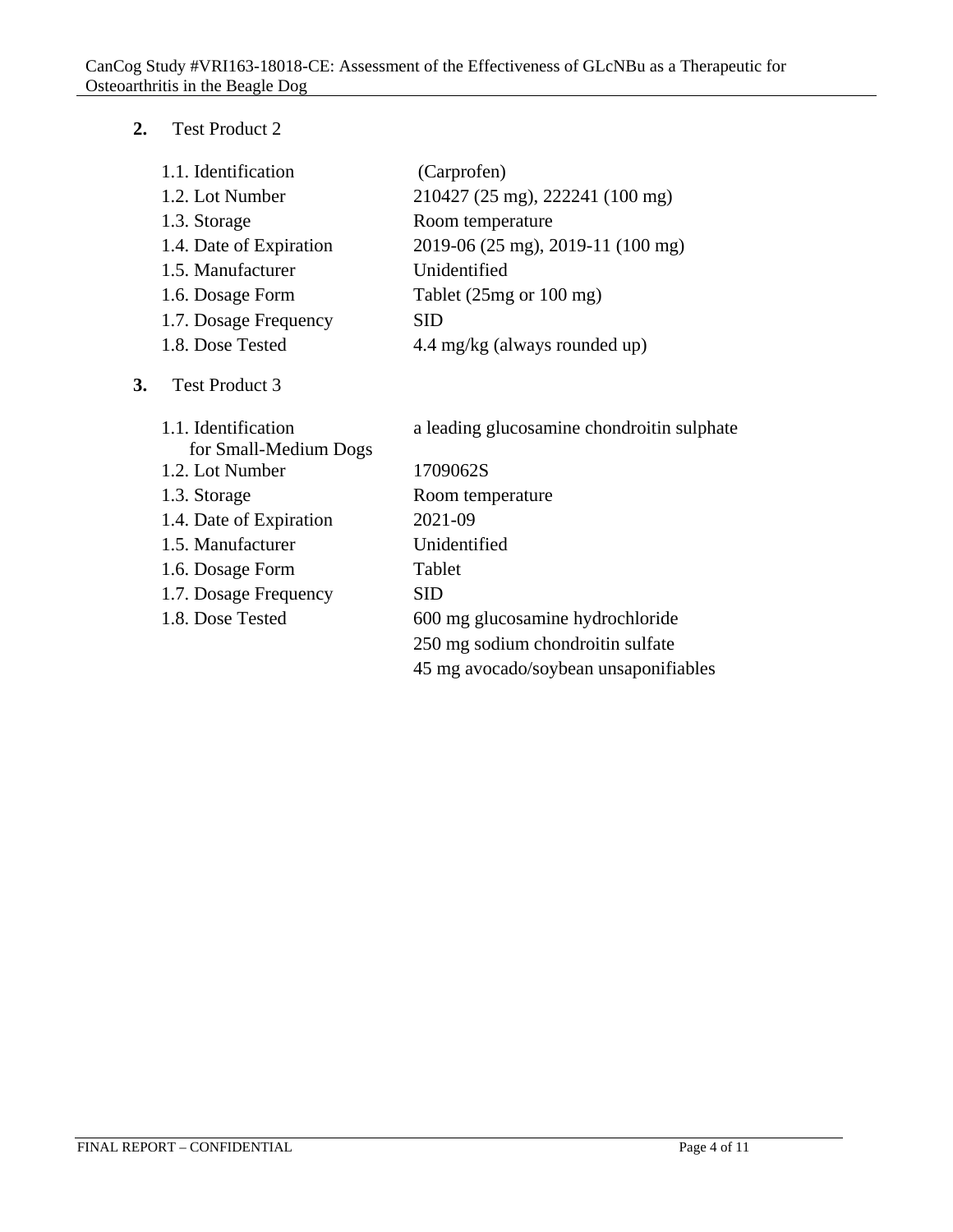**2.** Test Product 2

| 1.1. Identification     | (Carprofen)                       |
|-------------------------|-----------------------------------|
| 1.2. Lot Number         | 210427 (25 mg), 222241 (100 mg)   |
| 1.3. Storage            | Room temperature                  |
| 1.4. Date of Expiration | 2019-06 (25 mg), 2019-11 (100 mg) |
| 1.5. Manufacturer       | Unidentified                      |
| 1.6. Dosage Form        | Tablet $(25mg or 100 mg)$         |
| 1.7. Dosage Frequency   | SID                               |
| 1.8. Dose Tested        | 4.4 mg/kg (always rounded up)     |
|                         |                                   |

**3.** Test Product 3

| 1.1. Identification     | a leading glucosamine chondroitin sulphate |
|-------------------------|--------------------------------------------|
| for Small-Medium Dogs   |                                            |
| 1.2. Lot Number         | 1709062S                                   |
| 1.3. Storage            | Room temperature                           |
| 1.4. Date of Expiration | 2021-09                                    |
| 1.5. Manufacturer       | Unidentified                               |
| 1.6. Dosage Form        | Tablet                                     |
| 1.7. Dosage Frequency   | SID                                        |
| 1.8. Dose Tested        | 600 mg glucosamine hydrochloride           |
|                         | 250 mg sodium chondroitin sulfate          |
|                         | 45 mg avocado/soybean unsaponifiables      |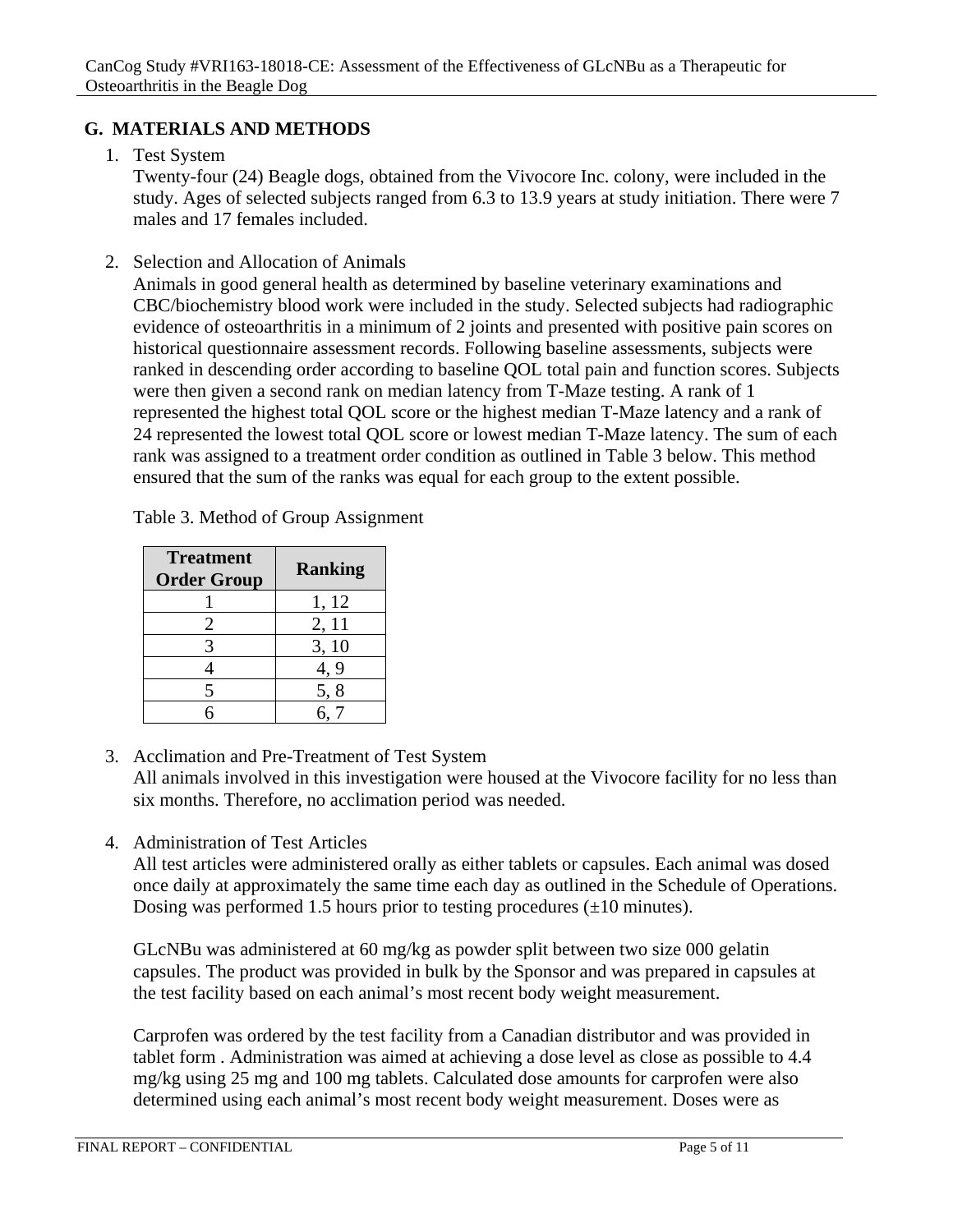# **G. MATERIALS AND METHODS**

#### 1. Test System

Twenty-four (24) Beagle dogs, obtained from the Vivocore Inc. colony, were included in the study. Ages of selected subjects ranged from 6.3 to 13.9 years at study initiation. There were 7 males and 17 females included.

2. Selection and Allocation of Animals

Animals in good general health as determined by baseline veterinary examinations and CBC/biochemistry blood work were included in the study. Selected subjects had radiographic evidence of osteoarthritis in a minimum of 2 joints and presented with positive pain scores on historical questionnaire assessment records. Following baseline assessments, subjects were ranked in descending order according to baseline QOL total pain and function scores. Subjects were then given a second rank on median latency from T-Maze testing. A rank of 1 represented the highest total QOL score or the highest median T-Maze latency and a rank of 24 represented the lowest total QOL score or lowest median T-Maze latency. The sum of each rank was assigned to a treatment order condition as outlined in Table 3 below. This method ensured that the sum of the ranks was equal for each group to the extent possible.

Table 3. Method of Group Assignment

| <b>Treatment</b><br><b>Order Group</b> | <b>Ranking</b> |
|----------------------------------------|----------------|
|                                        | 1, 12          |
|                                        | 2, 11          |
| 3                                      | 3, 10          |
|                                        | 4,9            |
| 5                                      | 5, 8           |
|                                        |                |

3. Acclimation and Pre-Treatment of Test System

All animals involved in this investigation were housed at the Vivocore facility for no less than six months. Therefore, no acclimation period was needed.

4. Administration of Test Articles

All test articles were administered orally as either tablets or capsules. Each animal was dosed once daily at approximately the same time each day as outlined in the Schedule of Operations. Dosing was performed 1.5 hours prior to testing procedures  $(\pm 10 \text{ minutes})$ .

GLcNBu was administered at 60 mg/kg as powder split between two size 000 gelatin capsules. The product was provided in bulk by the Sponsor and was prepared in capsules at the test facility based on each animal's most recent body weight measurement.

Carprofen was ordered by the test facility from a Canadian distributor and was provided in tablet form . Administration was aimed at achieving a dose level as close as possible to 4.4 mg/kg using 25 mg and 100 mg tablets. Calculated dose amounts for carprofen were also determined using each animal's most recent body weight measurement. Doses were as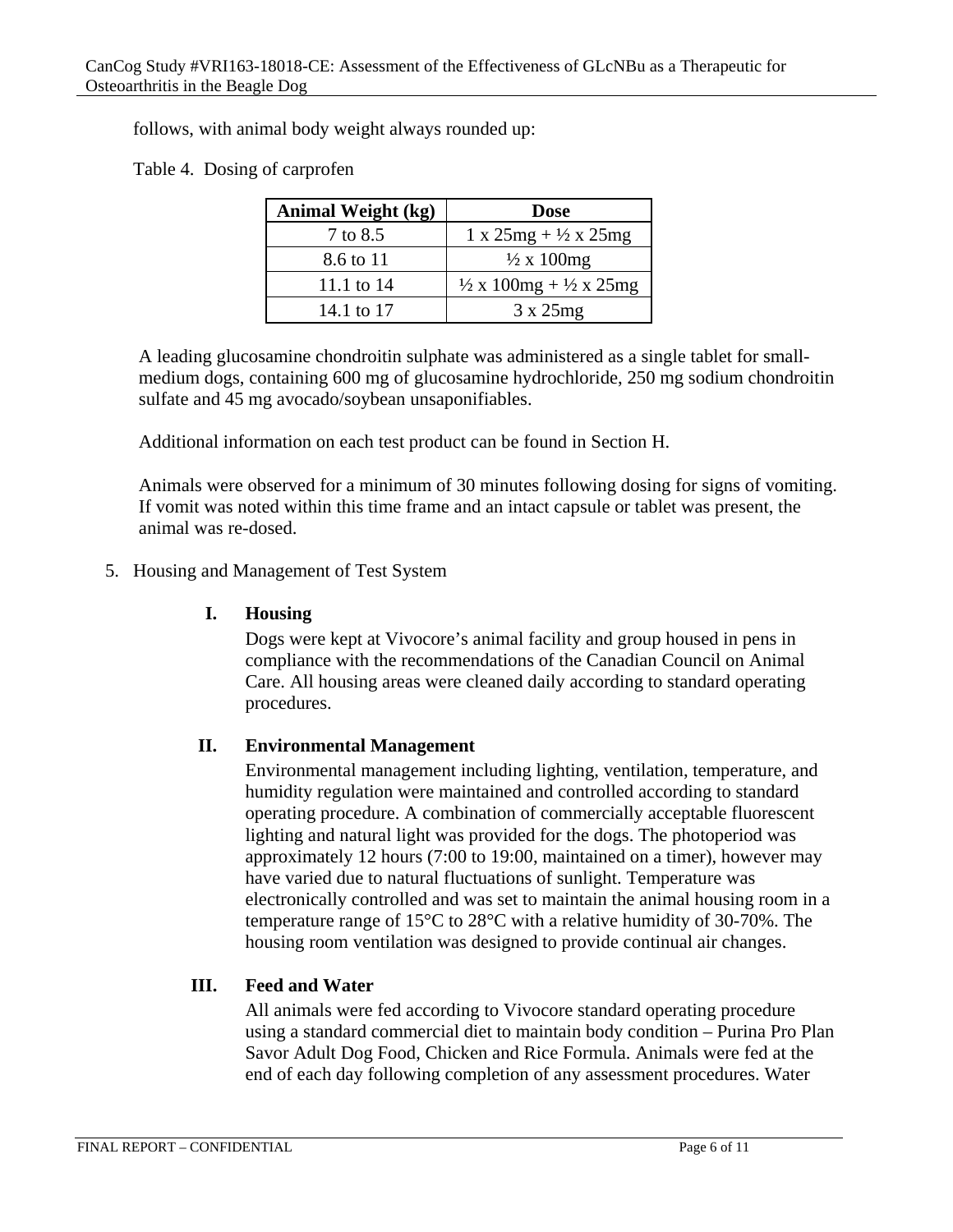follows, with animal body weight always rounded up:

Table 4. Dosing of carprofen

| <b>Animal Weight (kg)</b> | <b>Dose</b>                                  |
|---------------------------|----------------------------------------------|
| 7 to 8.5                  | $1 \times 25mg + \frac{1}{2} \times 25mg$    |
| 8.6 to 11                 | $\frac{1}{2} \times 100$ mg                  |
| 11.1 to 14                | $\frac{1}{2}$ x 100mg + $\frac{1}{2}$ x 25mg |
| 14.1 to 17                | $3 \times 25$ mg                             |

A leading glucosamine chondroitin sulphate was administered as a single tablet for smallmedium dogs, containing 600 mg of glucosamine hydrochloride, 250 mg sodium chondroitin sulfate and 45 mg avocado/soybean unsaponifiables.

Additional information on each test product can be found in Section H.

Animals were observed for a minimum of 30 minutes following dosing for signs of vomiting. If vomit was noted within this time frame and an intact capsule or tablet was present, the animal was re-dosed.

#### 5. Housing and Management of Test System

#### **I. Housing**

Dogs were kept at Vivocore's animal facility and group housed in pens in compliance with the recommendations of the Canadian Council on Animal Care. All housing areas were cleaned daily according to standard operating procedures.

#### **II. Environmental Management**

Environmental management including lighting, ventilation, temperature, and humidity regulation were maintained and controlled according to standard operating procedure. A combination of commercially acceptable fluorescent lighting and natural light was provided for the dogs. The photoperiod was approximately 12 hours (7:00 to 19:00, maintained on a timer), however may have varied due to natural fluctuations of sunlight. Temperature was electronically controlled and was set to maintain the animal housing room in a temperature range of 15°C to 28°C with a relative humidity of 30-70%. The housing room ventilation was designed to provide continual air changes.

#### **III. Feed and Water**

All animals were fed according to Vivocore standard operating procedure using a standard commercial diet to maintain body condition – Purina Pro Plan Savor Adult Dog Food, Chicken and Rice Formula. Animals were fed at the end of each day following completion of any assessment procedures. Water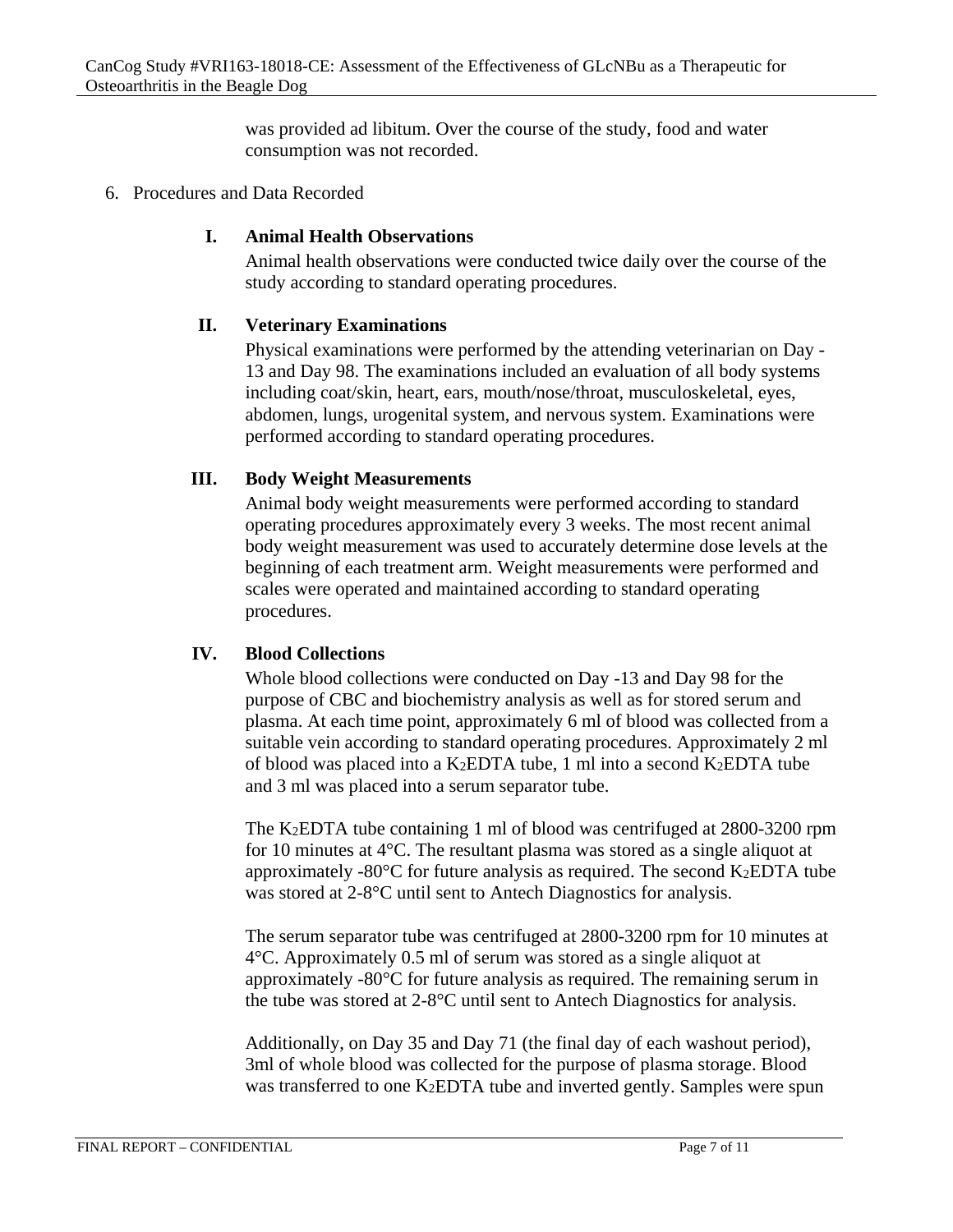was provided ad libitum. Over the course of the study, food and water consumption was not recorded.

#### 6. Procedures and Data Recorded

#### **I. Animal Health Observations**

Animal health observations were conducted twice daily over the course of the study according to standard operating procedures.

#### **II. Veterinary Examinations**

Physical examinations were performed by the attending veterinarian on Day - 13 and Day 98. The examinations included an evaluation of all body systems including coat/skin, heart, ears, mouth/nose/throat, musculoskeletal, eyes, abdomen, lungs, urogenital system, and nervous system. Examinations were performed according to standard operating procedures.

#### **III. Body Weight Measurements**

Animal body weight measurements were performed according to standard operating procedures approximately every 3 weeks. The most recent animal body weight measurement was used to accurately determine dose levels at the beginning of each treatment arm. Weight measurements were performed and scales were operated and maintained according to standard operating procedures.

#### **IV. Blood Collections**

Whole blood collections were conducted on Day -13 and Day 98 for the purpose of CBC and biochemistry analysis as well as for stored serum and plasma. At each time point, approximately 6 ml of blood was collected from a suitable vein according to standard operating procedures. Approximately 2 ml of blood was placed into a K2EDTA tube, 1 ml into a second K2EDTA tube and 3 ml was placed into a serum separator tube.

The K2EDTA tube containing 1 ml of blood was centrifuged at 2800-3200 rpm for 10 minutes at 4°C. The resultant plasma was stored as a single aliquot at approximately -80 $\degree$ C for future analysis as required. The second K<sub>2</sub>EDTA tube was stored at 2-8°C until sent to Antech Diagnostics for analysis.

The serum separator tube was centrifuged at 2800-3200 rpm for 10 minutes at 4°C. Approximately 0.5 ml of serum was stored as a single aliquot at approximately -80°C for future analysis as required. The remaining serum in the tube was stored at 2-8°C until sent to Antech Diagnostics for analysis.

Additionally, on Day 35 and Day 71 (the final day of each washout period), 3ml of whole blood was collected for the purpose of plasma storage. Blood was transferred to one K2EDTA tube and inverted gently. Samples were spun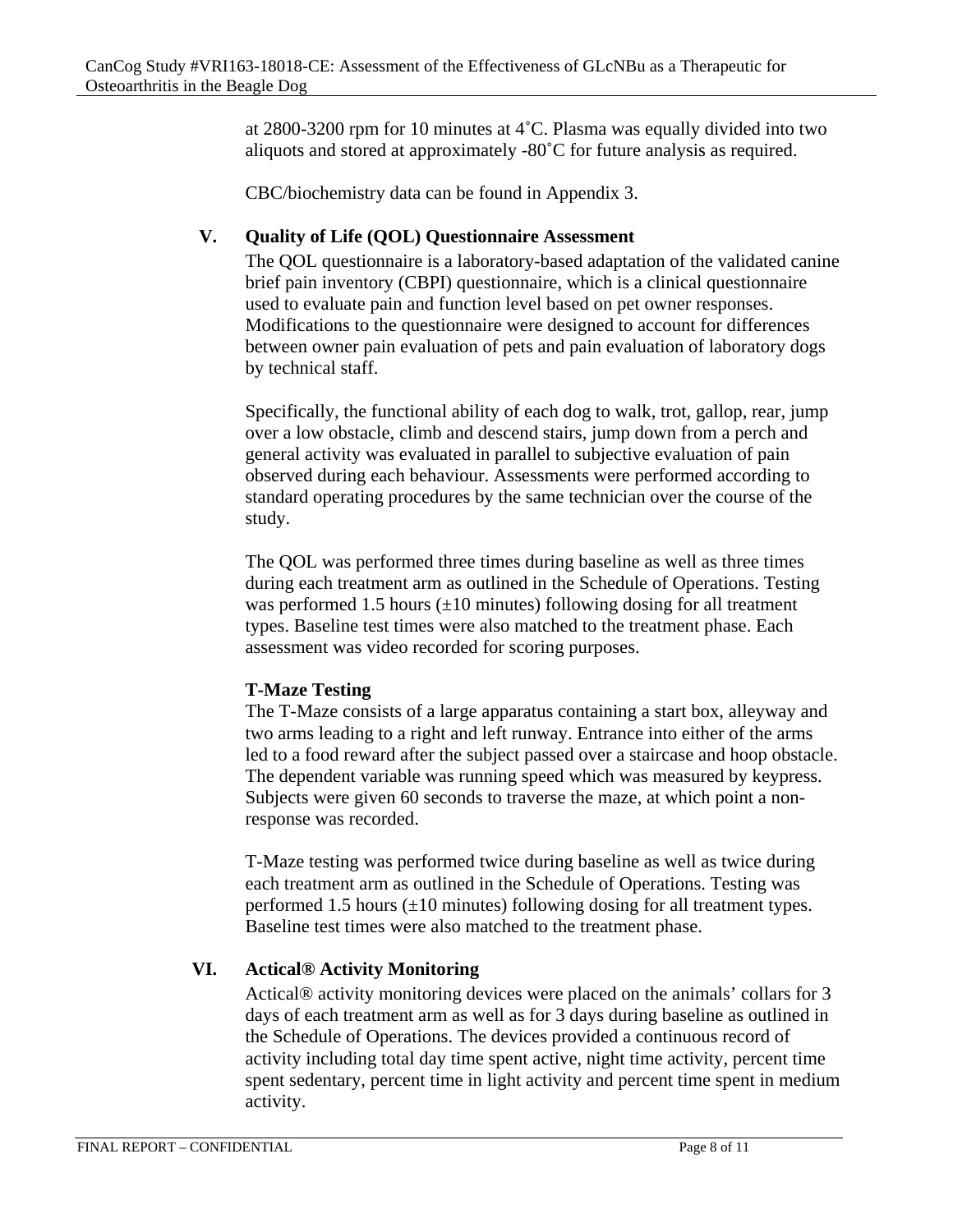at 2800-3200 rpm for 10 minutes at 4˚C. Plasma was equally divided into two aliquots and stored at approximately -80˚C for future analysis as required.

CBC/biochemistry data can be found in Appendix 3.

#### **V. Quality of Life (QOL) Questionnaire Assessment**

The QOL questionnaire is a laboratory-based adaptation of the validated canine brief pain inventory (CBPI) questionnaire, which is a clinical questionnaire used to evaluate pain and function level based on pet owner responses. Modifications to the questionnaire were designed to account for differences between owner pain evaluation of pets and pain evaluation of laboratory dogs by technical staff.

Specifically, the functional ability of each dog to walk, trot, gallop, rear, jump over a low obstacle, climb and descend stairs, jump down from a perch and general activity was evaluated in parallel to subjective evaluation of pain observed during each behaviour. Assessments were performed according to standard operating procedures by the same technician over the course of the study.

The QOL was performed three times during baseline as well as three times during each treatment arm as outlined in the Schedule of Operations. Testing was performed 1.5 hours  $(\pm 10 \text{ minutes})$  following dosing for all treatment types. Baseline test times were also matched to the treatment phase. Each assessment was video recorded for scoring purposes.

#### **T-Maze Testing**

The T-Maze consists of a large apparatus containing a start box, alleyway and two arms leading to a right and left runway. Entrance into either of the arms led to a food reward after the subject passed over a staircase and hoop obstacle. The dependent variable was running speed which was measured by keypress. Subjects were given 60 seconds to traverse the maze, at which point a nonresponse was recorded.

T-Maze testing was performed twice during baseline as well as twice during each treatment arm as outlined in the Schedule of Operations. Testing was performed 1.5 hours  $(\pm 10 \text{ minutes})$  following dosing for all treatment types. Baseline test times were also matched to the treatment phase.

# **VI. Actical® Activity Monitoring**

Actical® activity monitoring devices were placed on the animals' collars for 3 days of each treatment arm as well as for 3 days during baseline as outlined in the Schedule of Operations. The devices provided a continuous record of activity including total day time spent active, night time activity, percent time spent sedentary, percent time in light activity and percent time spent in medium activity.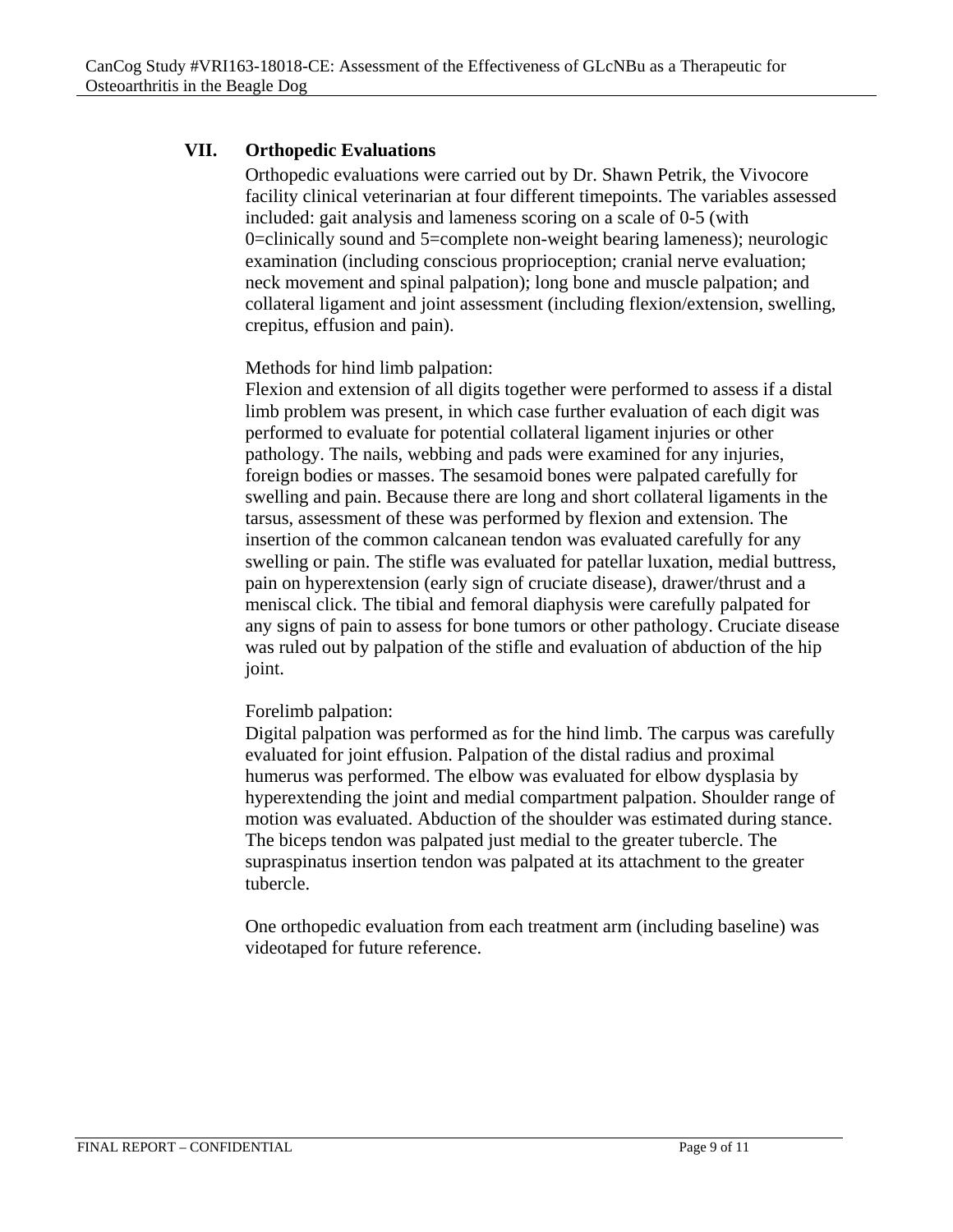### **VII. Orthopedic Evaluations**

Orthopedic evaluations were carried out by Dr. Shawn Petrik, the Vivocore facility clinical veterinarian at four different timepoints. The variables assessed included: gait analysis and lameness scoring on a scale of 0-5 (with 0=clinically sound and 5=complete non-weight bearing lameness); neurologic examination (including conscious proprioception; cranial nerve evaluation; neck movement and spinal palpation); long bone and muscle palpation; and collateral ligament and joint assessment (including flexion/extension, swelling, crepitus, effusion and pain).

Methods for hind limb palpation:

Flexion and extension of all digits together were performed to assess if a distal limb problem was present, in which case further evaluation of each digit was performed to evaluate for potential collateral ligament injuries or other pathology. The nails, webbing and pads were examined for any injuries, foreign bodies or masses. The sesamoid bones were palpated carefully for swelling and pain. Because there are long and short collateral ligaments in the tarsus, assessment of these was performed by flexion and extension. The insertion of the common calcanean tendon was evaluated carefully for any swelling or pain. The stifle was evaluated for patellar luxation, medial buttress, pain on hyperextension (early sign of cruciate disease), drawer/thrust and a meniscal click. The tibial and femoral diaphysis were carefully palpated for any signs of pain to assess for bone tumors or other pathology. Cruciate disease was ruled out by palpation of the stifle and evaluation of abduction of the hip joint.

#### Forelimb palpation:

Digital palpation was performed as for the hind limb. The carpus was carefully evaluated for joint effusion. Palpation of the distal radius and proximal humerus was performed. The elbow was evaluated for elbow dysplasia by hyperextending the joint and medial compartment palpation. Shoulder range of motion was evaluated. Abduction of the shoulder was estimated during stance. The biceps tendon was palpated just medial to the greater tubercle. The supraspinatus insertion tendon was palpated at its attachment to the greater tubercle.

One orthopedic evaluation from each treatment arm (including baseline) was videotaped for future reference.